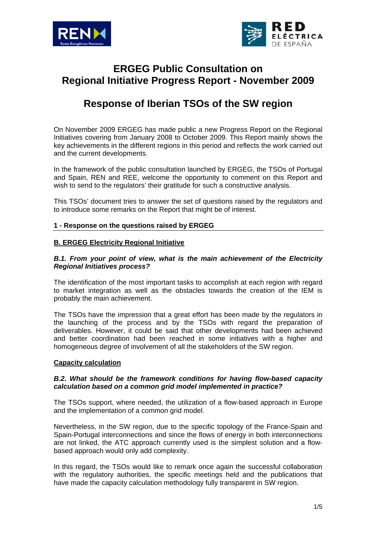



# **ERGEG Public Consultation on Regional Initiative Progress Report - November 2009**

# **Response of Iberian TSOs of the SW region**

On November 2009 ERGEG has made public a new Progress Report on the Regional Initiatives covering from January 2008 to October 2009. This Report mainly shows the key achievements in the different regions in this period and reflects the work carried out and the current developments.

In the framework of the public consultation launched by ERGEG, the TSOs of Portugal and Spain, REN and REE, welcome the opportunity to comment on this Report and wish to send to the regulators' their gratitude for such a constructive analysis.

This TSOs' document tries to answer the set of questions raised by the regulators and to introduce some remarks on the Report that might be of interest.

## **1 - Response on the questions raised by ERGEG**

## **B. ERGEG Electricity Regional Initiative**

## *B.1. From your point of view, what is the main achievement of the Electricity Regional Initiatives process?*

The identification of the most important tasks to accomplish at each region with regard to market integration as well as the obstacles towards the creation of the IEM is probably the main achievement.

The TSOs have the impression that a great effort has been made by the regulators in the launching of the process and by the TSOs with regard the preparation of deliverables. However, it could be said that other developments had been achieved and better coordination had been reached in some initiatives with a higher and homogeneous degree of involvement of all the stakeholders of the SW region.

#### **Capacity calculation**

## *B.2. What should be the framework conditions for having flow-based capacity calculation based on a common grid model implemented in practice?*

The TSOs support, where needed, the utilization of a flow-based approach in Europe and the implementation of a common grid model.

Nevertheless, in the SW region, due to the specific topology of the France-Spain and Spain-Portugal interconnections and since the flows of energy in both interconnections are not linked, the ATC approach currently used is the simplest solution and a flowbased approach would only add complexity.

In this regard, the TSOs would like to remark once again the successful collaboration with the regulatory authorities, the specific meetings held and the publications that have made the capacity calculation methodology fully transparent in SW region.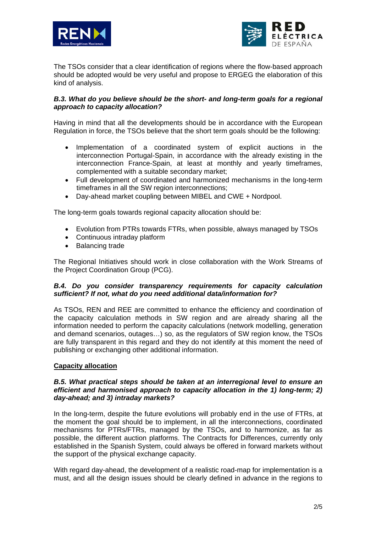



The TSOs consider that a clear identification of regions where the flow-based approach should be adopted would be very useful and propose to ERGEG the elaboration of this kind of analysis.

## **B.3. What do you believe should be the short- and long-term goals for a regional** *approach to capacity allocation?*

Having in mind that all the developments should be in accordance with the European Regulation in force, the TSOs believe that the short term goals should be the following:

- Implementation of a coordinated system of explicit auctions in the interconnection Portugal-Spain, in accordance with the already existing in the interconnection France-Spain, at least at monthly and yearly timeframes, complemented with a suitable secondary market;
- Full development of coordinated and harmonized mechanisms in the long-term timeframes in all the SW region interconnections;
- Day-ahead market coupling between MIBEL and CWE + Nordpool.

The long-term goals towards regional capacity allocation should be:

- Evolution from PTRs towards FTRs, when possible, always managed by TSOs
- Continuous intraday platform
- Balancing trade

The Regional Initiatives should work in close collaboration with the Work Streams of the Project Coordination Group (PCG).

# *B.4. Do you consider transparency requirements for capacity calculation sufficient? If not, what do you need additional data/information for?*

As TSOs, REN and REE are committed to enhance the efficiency and coordination of the capacity calculation methods in SW region and are already sharing all the information needed to perform the capacity calculations (network modelling, generation and demand scenarios, outages…) so, as the regulators of SW region know, the TSOs are fully transparent in this regard and they do not identify at this moment the need of publishing or exchanging other additional information.

# **Capacity allocation**

## *B.5. What practical steps should be taken at an interregional level to ensure an efficient and harmonised approach to capacity allocation in the 1) long-term; 2) day-ahead; and 3) intraday markets?*

In the long-term, despite the future evolutions will probably end in the use of FTRs, at the moment the goal should be to implement, in all the interconnections, coordinated mechanisms for PTRs/FTRs, managed by the TSOs, and to harmonize, as far as possible, the different auction platforms. The Contracts for Differences, currently only established in the Spanish System, could always be offered in forward markets without the support of the physical exchange capacity.

With regard day-ahead, the development of a realistic road-map for implementation is a must, and all the design issues should be clearly defined in advance in the regions to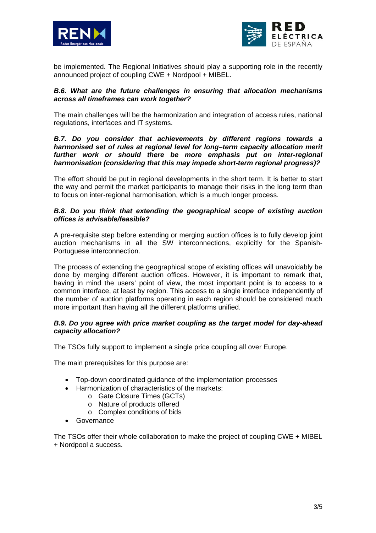



be implemented. The Regional Initiatives should play a supporting role in the recently announced project of coupling CWE + Nordpool + MIBEL.

## *B.6. What are the future challenges in ensuring that allocation mechanisms across all timeframes can work together?*

The main challenges will be the harmonization and integration of access rules, national regulations, interfaces and IT systems.

#### *B.7. Do you consider that achievements by different regions towards a harmonised set of rules at regional level for long–term capacity allocation merit further work or should there be more emphasis put on inter-regional harmonisation (considering that this may impede short-term regional progress)?*

The effort should be put in regional developments in the short term. It is better to start the way and permit the market participants to manage their risks in the long term than to focus on inter-regional harmonisation, which is a much longer process.

## *B.8. Do you think that extending the geographical scope of existing auction offices is advisable/feasible?*

A pre-requisite step before extending or merging auction offices is to fully develop joint auction mechanisms in all the SW interconnections, explicitly for the Spanish-Portuguese interconnection.

The process of extending the geographical scope of existing offices will unavoidably be done by merging different auction offices. However, it is important to remark that, having in mind the users' point of view, the most important point is to access to a common interface, at least by region. This access to a single interface independently of the number of auction platforms operating in each region should be considered much more important than having all the different platforms unified.

# *B.9. Do you agree with price market coupling as the target model for day-ahead capacity allocation?*

The TSOs fully support to implement a single price coupling all over Europe.

The main prerequisites for this purpose are:

- Top-down coordinated guidance of the implementation processes
- Harmonization of characteristics of the markets:
	- o Gate Closure Times (GCTs)
		- o Nature of products offered
		- o Complex conditions of bids
- Governance

The TSOs offer their whole collaboration to make the project of coupling CWE + MIBEL + Nordpool a success.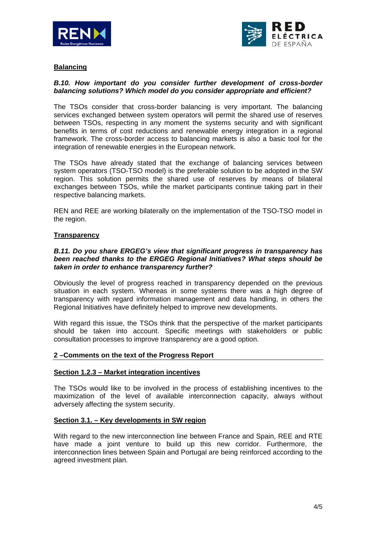



# **Balancing**

# *B.10. How important do you consider further development of cross-border balancing solutions? Which model do you consider appropriate and efficient?*

The TSOs consider that cross-border balancing is very important. The balancing services exchanged between system operators will permit the shared use of reserves between TSOs, respecting in any moment the systems security and with significant benefits in terms of cost reductions and renewable energy integration in a regional framework. The cross-border access to balancing markets is also a basic tool for the integration of renewable energies in the European network.

The TSOs have already stated that the exchange of balancing services between system operators (TSO-TSO model) is the preferable solution to be adopted in the SW region. This solution permits the shared use of reserves by means of bilateral exchanges between TSOs, while the market participants continue taking part in their respective balancing markets.

REN and REE are working bilaterally on the implementation of the TSO-TSO model in the region.

## **Transparency**

## *B.11. Do you share ERGEG's view that significant progress in transparency has been reached thanks to the ERGEG Regional Initiatives? What steps should be taken in order to enhance transparency further?*

Obviously the level of progress reached in transparency depended on the previous situation in each system. Whereas in some systems there was a high degree of transparency with regard information management and data handling, in others the Regional Initiatives have definitely helped to improve new developments.

With regard this issue, the TSOs think that the perspective of the market participants should be taken into account. Specific meetings with stakeholders or public consultation processes to improve transparency are a good option.

#### **2 –Comments on the text of the Progress Report**

#### **Section 1.2.3 – Market integration incentives**

The TSOs would like to be involved in the process of establishing incentives to the maximization of the level of available interconnection capacity, always without adversely affecting the system security.

#### **Section 3.1. – Key developments in SW region**

With regard to the new interconnection line between France and Spain, REE and RTE have made a joint venture to build up this new corridor. Furthermore, the interconnection lines between Spain and Portugal are being reinforced according to the agreed investment plan.